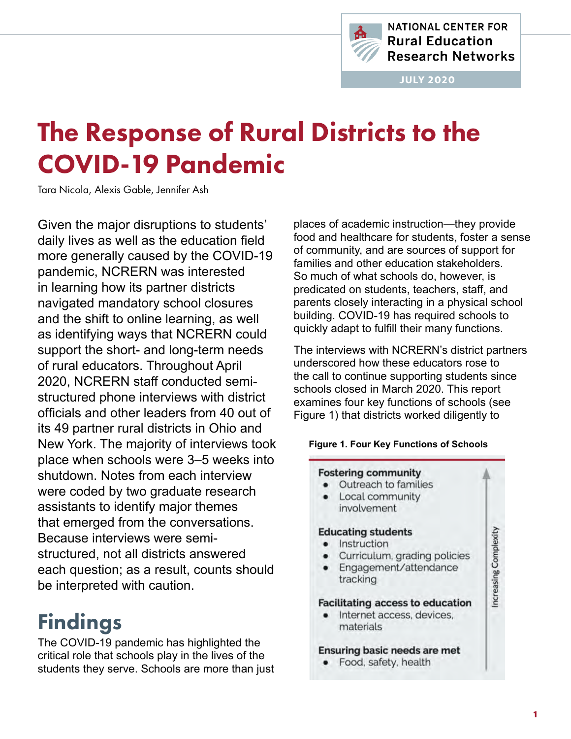

**NATIONAL CENTER FOR Rural Education Research Networks** 

JULY 2020

# The Response of Rural Districts to the COVID-19 Pandemic

Tara Nicola, Alexis Gable, Jennifer Ash

Given the major disruptions to students' daily lives as well as the education field more generally caused by the COVID-19 pandemic, NCRERN was interested in learning how its partner districts navigated mandatory school closures and the shift to online learning, as well as identifying ways that NCRERN could support the short- and long-term needs of rural educators. Throughout April 2020, NCRERN staff conducted semistructured phone interviews with district officials and other leaders from 40 out of its 49 partner rural districts in Ohio and New York. The majority of interviews took place when schools were 3–5 weeks into shutdown. Notes from each interview were coded by two graduate research assistants to identify major themes that emerged from the conversations. Because interviews were semistructured, not all districts answered each question; as a result, counts should be interpreted with caution.

## Findings

The COVID-19 pandemic has highlighted the critical role that schools play in the lives of the students they serve. Schools are more than just places of academic instruction—they provide food and healthcare for students, foster a sense of community, and are sources of support for families and other education stakeholders. So much of what schools do, however, is predicated on students, teachers, staff, and parents closely interacting in a physical school building. COVID-19 has required schools to quickly adapt to fulfill their many functions.

The interviews with NCRERN's district partners underscored how these educators rose to the call to continue supporting students since schools closed in March 2020. This report examines four key functions of schools (see Figure 1) that districts worked diligently to

#### **Figure 1. Four Key Functions of Schools**

#### **Fostering community** • Outreach to families Local community  $\bullet$ involvement **Educating students** • Instruction Curriculum, grading policies  $\bullet$ Engagement/attendance tracking **Facilitating access to education** · Internet access, devices, materials **Ensuring basic needs are met**

• Food, safety, health

Increasing Complexity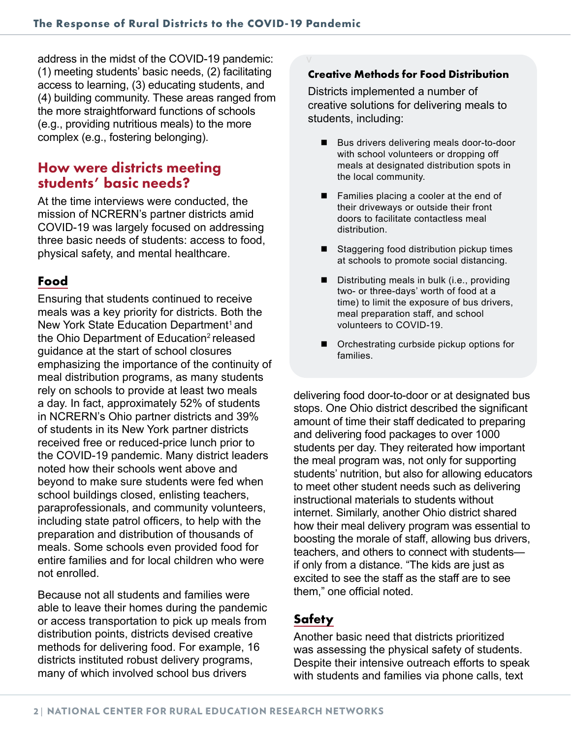address in the midst of the COVID-19 pandemic: (1) meeting students' basic needs, (2) facilitating access to learning, (3) educating students, and (4) building community. These areas ranged from the more straightforward functions of schools (e.g., providing nutritious meals) to the more complex (e.g., fostering belonging).

#### How were districts meeting students' basic needs?

At the time interviews were conducted, the mission of NCRERN's partner districts amid COVID-19 was largely focused on addressing three basic needs of students: access to food, physical safety, and mental healthcare.

#### **Food**

Ensuring that students continued to receive meals was a key priority for districts. Both the New York State Education Department<sup>1</sup> and the Ohio Department of Education<sup>2</sup> released guidance at the start of school closures emphasizing the importance of the continuity of meal distribution programs, as many students rely on schools to provide at least two meals a day. In fact, approximately 52% of students in NCRERN's Ohio partner districts and 39% of students in its New York partner districts received free or reduced-price lunch prior to the COVID-19 pandemic. Many district leaders noted how their schools went above and beyond to make sure students were fed when school buildings closed, enlisting teachers, paraprofessionals, and community volunteers, including state patrol officers, to help with the preparation and distribution of thousands of meals. Some schools even provided food for entire families and for local children who were not enrolled.

Because not all students and families were able to leave their homes during the pandemic or access transportation to pick up meals from distribution points, districts devised creative methods for delivering food. For example, 16 districts instituted robust delivery programs, many of which involved school bus drivers

#### **Creative Methods for Food Distribution**

Districts implemented a number of creative solutions for delivering meals to students, including:

- Bus drivers delivering meals door-to-door with school volunteers or dropping off meals at designated distribution spots in the local community.
- Families placing a cooler at the end of their driveways or outside their front doors to facilitate contactless meal distribution.
- Staggering food distribution pickup times at schools to promote social distancing.
- $\blacksquare$  Distributing meals in bulk (i.e., providing two- or three-days' worth of food at a time) to limit the exposure of bus drivers, meal preparation staff, and school volunteers to COVID-19.
- Orchestrating curbside pickup options for families.

delivering food door-to-door or at designated bus stops. One Ohio district described the significant amount of time their staff dedicated to preparing and delivering food packages to over 1000 students per day. They reiterated how important the meal program was, not only for supporting students' nutrition, but also for allowing educators to meet other student needs such as delivering instructional materials to students without internet. Similarly, another Ohio district shared how their meal delivery program was essential to boosting the morale of staff, allowing bus drivers, teachers, and others to connect with students if only from a distance. "The kids are just as excited to see the staff as the staff are to see them," one official noted.

#### **Safety**

Another basic need that districts prioritized was assessing the physical safety of students. Despite their intensive outreach efforts to speak with students and families via phone calls, text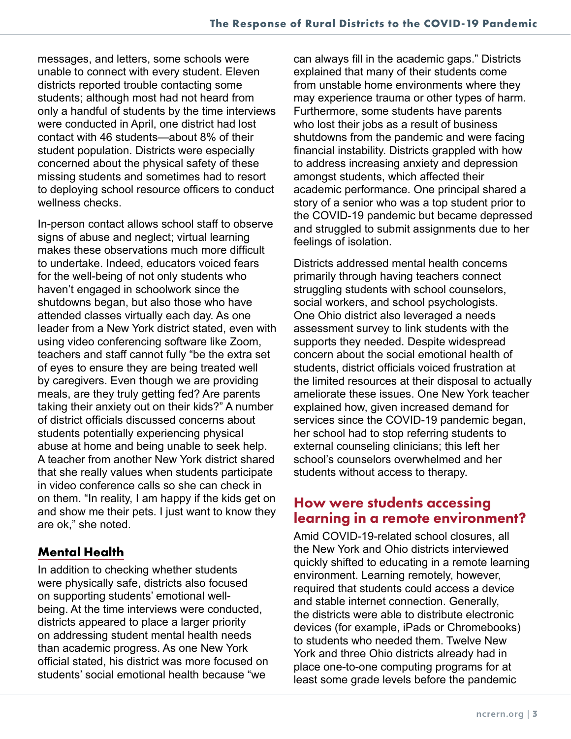messages, and letters, some schools were unable to connect with every student. Eleven districts reported trouble contacting some students; although most had not heard from only a handful of students by the time interviews were conducted in April, one district had lost contact with 46 students—about 8% of their student population. Districts were especially concerned about the physical safety of these missing students and sometimes had to resort to deploying school resource officers to conduct wellness checks.

In-person contact allows school staff to observe signs of abuse and neglect; virtual learning makes these observations much more difficult to undertake. Indeed, educators voiced fears for the well-being of not only students who haven't engaged in schoolwork since the shutdowns began, but also those who have attended classes virtually each day. As one leader from a New York district stated, even with using video conferencing software like Zoom, teachers and staff cannot fully "be the extra set of eyes to ensure they are being treated well by caregivers. Even though we are providing meals, are they truly getting fed? Are parents taking their anxiety out on their kids?" A number of district officials discussed concerns about students potentially experiencing physical abuse at home and being unable to seek help. A teacher from another New York district shared that she really values when students participate in video conference calls so she can check in on them. "In reality, I am happy if the kids get on and show me their pets. I just want to know they are ok," she noted.

#### **Mental Health**

In addition to checking whether students were physically safe, districts also focused on supporting students' emotional wellbeing. At the time interviews were conducted, districts appeared to place a larger priority on addressing student mental health needs than academic progress. As one New York official stated, his district was more focused on students' social emotional health because "we

can always fill in the academic gaps." Districts explained that many of their students come from unstable home environments where they may experience trauma or other types of harm. Furthermore, some students have parents who lost their jobs as a result of business shutdowns from the pandemic and were facing financial instability. Districts grappled with how to address increasing anxiety and depression amongst students, which affected their academic performance. One principal shared a story of a senior who was a top student prior to the COVID-19 pandemic but became depressed and struggled to submit assignments due to her feelings of isolation.

Districts addressed mental health concerns primarily through having teachers connect struggling students with school counselors, social workers, and school psychologists. One Ohio district also leveraged a needs assessment survey to link students with the supports they needed. Despite widespread concern about the social emotional health of students, district officials voiced frustration at the limited resources at their disposal to actually ameliorate these issues. One New York teacher explained how, given increased demand for services since the COVID-19 pandemic began, her school had to stop referring students to external counseling clinicians; this left her school's counselors overwhelmed and her students without access to therapy.

### How were students accessing learning in a remote environment?

Amid COVID-19-related school closures, all the New York and Ohio districts interviewed quickly shifted to educating in a remote learning environment. Learning remotely, however, required that students could access a device and stable internet connection. Generally, the districts were able to distribute electronic devices (for example, iPads or Chromebooks) to students who needed them. Twelve New York and three Ohio districts already had in place one-to-one computing programs for at least some grade levels before the pandemic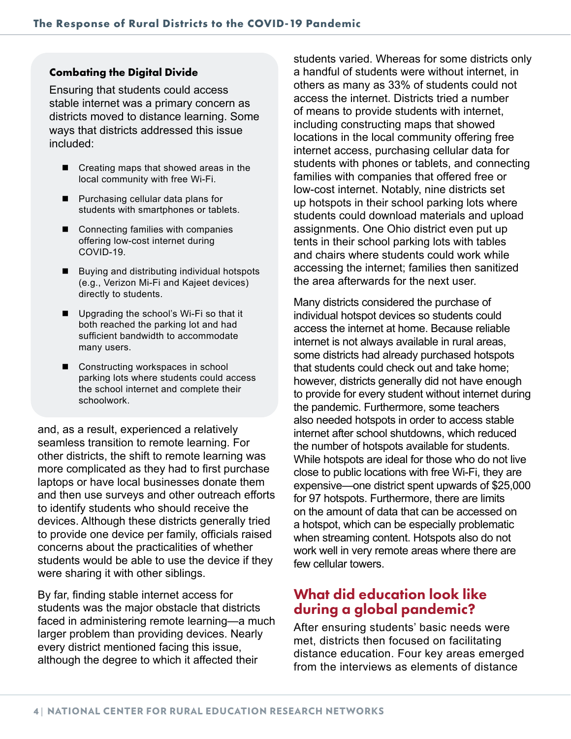#### **Combating the Digital Divide**

Ensuring that students could access stable internet was a primary concern as districts moved to distance learning. Some ways that districts addressed this issue included:

- Creating maps that showed areas in the local community with free Wi-Fi.
- **Purchasing cellular data plans for** students with smartphones or tablets.
- Connecting families with companies offering low-cost internet during COVID-19.
- **Buying and distributing individual hotspots** (e.g., Verizon Mi-Fi and Kajeet devices) directly to students.
- Upgrading the school's Wi-Fi so that it both reached the parking lot and had sufficient bandwidth to accommodate many users.
- Constructing workspaces in school parking lots where students could access the school internet and complete their schoolwork.

and, as a result, experienced a relatively seamless transition to remote learning. For other districts, the shift to remote learning was more complicated as they had to first purchase laptops or have local businesses donate them and then use surveys and other outreach efforts to identify students who should receive the devices. Although these districts generally tried to provide one device per family, officials raised concerns about the practicalities of whether students would be able to use the device if they were sharing it with other siblings.

By far, finding stable internet access for students was the major obstacle that districts faced in administering remote learning—a much larger problem than providing devices. Nearly every district mentioned facing this issue, although the degree to which it affected their

students varied. Whereas for some districts only a handful of students were without internet, in others as many as 33% of students could not access the internet. Districts tried a number of means to provide students with internet, including constructing maps that showed locations in the local community offering free internet access, purchasing cellular data for students with phones or tablets, and connecting families with companies that offered free or low-cost internet. Notably, nine districts set up hotspots in their school parking lots where students could download materials and upload assignments. One Ohio district even put up tents in their school parking lots with tables and chairs where students could work while accessing the internet; families then sanitized the area afterwards for the next user.

Many districts considered the purchase of individual hotspot devices so students could access the internet at home. Because reliable internet is not always available in rural areas, some districts had already purchased hotspots that students could check out and take home; however, districts generally did not have enough to provide for every student without internet during the pandemic. Furthermore, some teachers also needed hotspots in order to access stable internet after school shutdowns, which reduced the number of hotspots available for students. While hotspots are ideal for those who do not live close to public locations with free Wi-Fi, they are expensive—one district spent upwards of \$25,000 for 97 hotspots. Furthermore, there are limits on the amount of data that can be accessed on a hotspot, which can be especially problematic when streaming content. Hotspots also do not work well in very remote areas where there are few cellular towers.

#### What did education look like during a global pandemic?

After ensuring students' basic needs were met, districts then focused on facilitating distance education. Four key areas emerged from the interviews as elements of distance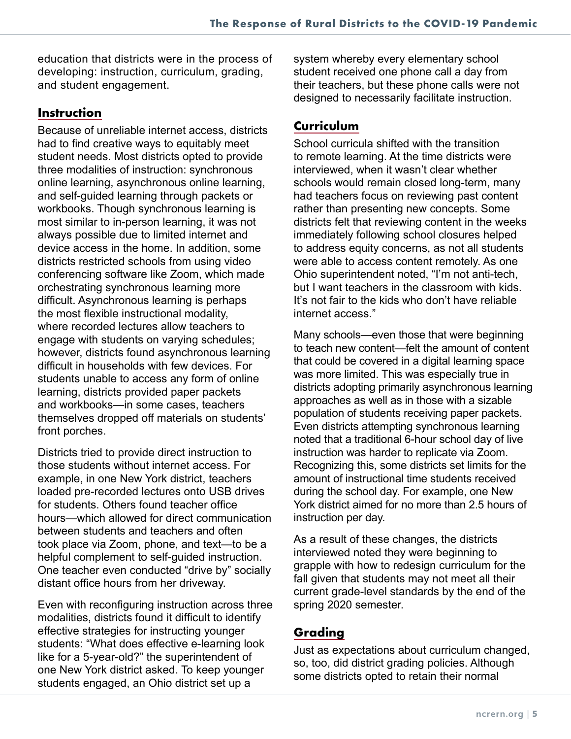education that districts were in the process of developing: instruction, curriculum, grading, and student engagement.

#### **Instruction**

Because of unreliable internet access, districts had to find creative ways to equitably meet student needs. Most districts opted to provide three modalities of instruction: synchronous online learning, asynchronous online learning, and self-guided learning through packets or workbooks. Though synchronous learning is most similar to in-person learning, it was not always possible due to limited internet and device access in the home. In addition, some districts restricted schools from using video conferencing software like Zoom, which made orchestrating synchronous learning more difficult. Asynchronous learning is perhaps the most flexible instructional modality, where recorded lectures allow teachers to engage with students on varying schedules; however, districts found asynchronous learning difficult in households with few devices. For students unable to access any form of online learning, districts provided paper packets and workbooks—in some cases, teachers themselves dropped off materials on students' front porches.

Districts tried to provide direct instruction to those students without internet access. For example, in one New York district, teachers loaded pre-recorded lectures onto USB drives for students. Others found teacher office hours—which allowed for direct communication between students and teachers and often took place via Zoom, phone, and text—to be a helpful complement to self-guided instruction. One teacher even conducted "drive by" socially distant office hours from her driveway.

Even with reconfiguring instruction across three modalities, districts found it difficult to identify effective strategies for instructing younger students: "What does effective e-learning look like for a 5-year-old?" the superintendent of one New York district asked. To keep younger students engaged, an Ohio district set up a

system whereby every elementary school student received one phone call a day from their teachers, but these phone calls were not designed to necessarily facilitate instruction.

#### **Curriculum**

School curricula shifted with the transition to remote learning. At the time districts were interviewed, when it wasn't clear whether schools would remain closed long-term, many had teachers focus on reviewing past content rather than presenting new concepts. Some districts felt that reviewing content in the weeks immediately following school closures helped to address equity concerns, as not all students were able to access content remotely. As one Ohio superintendent noted, "I'm not anti-tech, but I want teachers in the classroom with kids. It's not fair to the kids who don't have reliable internet access."

Many schools—even those that were beginning to teach new content—felt the amount of content that could be covered in a digital learning space was more limited. This was especially true in districts adopting primarily asynchronous learning approaches as well as in those with a sizable population of students receiving paper packets. Even districts attempting synchronous learning noted that a traditional 6-hour school day of live instruction was harder to replicate via Zoom. Recognizing this, some districts set limits for the amount of instructional time students received during the school day. For example, one New York district aimed for no more than 2.5 hours of instruction per day.

As a result of these changes, the districts interviewed noted they were beginning to grapple with how to redesign curriculum for the fall given that students may not meet all their current grade-level standards by the end of the spring 2020 semester.

#### **Grading**

Just as expectations about curriculum changed, so, too, did district grading policies. Although some districts opted to retain their normal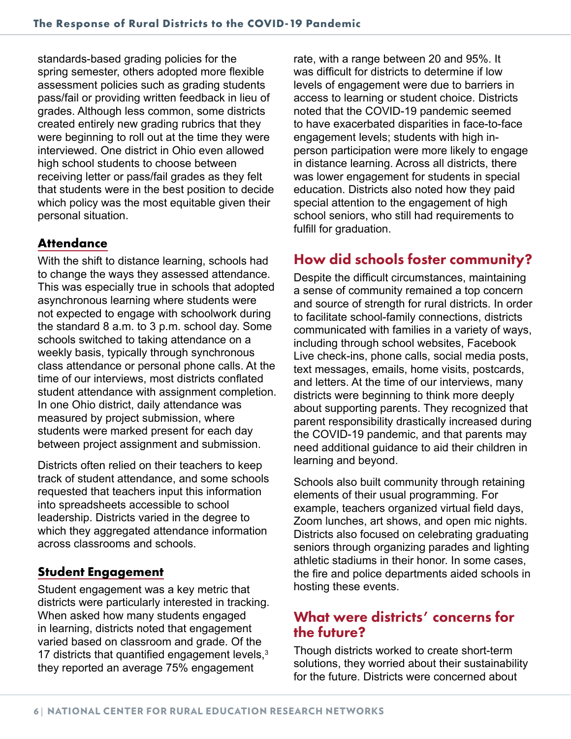standards-based grading policies for the spring semester, others adopted more flexible assessment policies such as grading students pass/fail or providing written feedback in lieu of grades. Although less common, some districts created entirely new grading rubrics that they were beginning to roll out at the time they were interviewed. One district in Ohio even allowed high school students to choose between receiving letter or pass/fail grades as they felt that students were in the best position to decide which policy was the most equitable given their personal situation.

#### **Attendance**

With the shift to distance learning, schools had to change the ways they assessed attendance. This was especially true in schools that adopted asynchronous learning where students were not expected to engage with schoolwork during the standard 8 a.m. to 3 p.m. school day. Some schools switched to taking attendance on a weekly basis, typically through synchronous class attendance or personal phone calls. At the time of our interviews, most districts conflated student attendance with assignment completion. In one Ohio district, daily attendance was measured by project submission, where students were marked present for each day between project assignment and submission.

Districts often relied on their teachers to keep track of student attendance, and some schools requested that teachers input this information into spreadsheets accessible to school leadership. Districts varied in the degree to which they aggregated attendance information across classrooms and schools.

#### **Student Engagement**

Student engagement was a key metric that districts were particularly interested in tracking. When asked how many students engaged in learning, districts noted that engagement varied based on classroom and grade. Of the 17 districts that quantified engagement levels,<sup>3</sup> they reported an average 75% engagement

rate, with a range between 20 and 95%. It was difficult for districts to determine if low levels of engagement were due to barriers in access to learning or student choice. Districts noted that the COVID-19 pandemic seemed to have exacerbated disparities in face-to-face engagement levels; students with high inperson participation were more likely to engage in distance learning. Across all districts, there was lower engagement for students in special education. Districts also noted how they paid special attention to the engagement of high school seniors, who still had requirements to fulfill for graduation.

### How did schools foster community?

Despite the difficult circumstances, maintaining a sense of community remained a top concern and source of strength for rural districts. In order to facilitate school-family connections, districts communicated with families in a variety of ways, including through school websites, Facebook Live check-ins, phone calls, social media posts, text messages, emails, home visits, postcards, and letters. At the time of our interviews, many districts were beginning to think more deeply about supporting parents. They recognized that parent responsibility drastically increased during the COVID-19 pandemic, and that parents may need additional guidance to aid their children in learning and beyond.

Schools also built community through retaining elements of their usual programming. For example, teachers organized virtual field days, Zoom lunches, art shows, and open mic nights. Districts also focused on celebrating graduating seniors through organizing parades and lighting athletic stadiums in their honor. In some cases, the fire and police departments aided schools in hosting these events.

#### What were districts' concerns for the future?

Though districts worked to create short-term solutions, they worried about their sustainability for the future. Districts were concerned about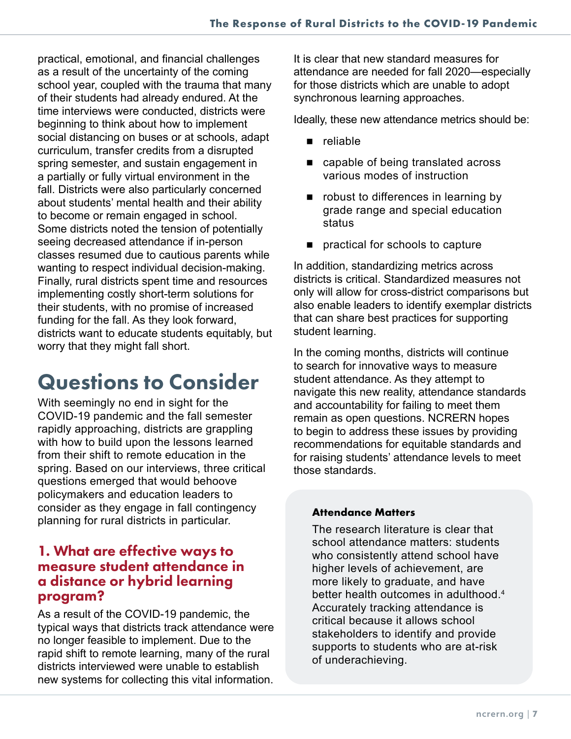practical, emotional, and financial challenges as a result of the uncertainty of the coming school year, coupled with the trauma that many of their students had already endured. At the time interviews were conducted, districts were beginning to think about how to implement social distancing on buses or at schools, adapt curriculum, transfer credits from a disrupted spring semester, and sustain engagement in a partially or fully virtual environment in the fall. Districts were also particularly concerned about students' mental health and their ability to become or remain engaged in school. Some districts noted the tension of potentially seeing decreased attendance if in-person classes resumed due to cautious parents while wanting to respect individual decision-making. Finally, rural districts spent time and resources implementing costly short-term solutions for their students, with no promise of increased funding for the fall. As they look forward, districts want to educate students equitably, but worry that they might fall short.

## Questions to Consider

With seemingly no end in sight for the COVID-19 pandemic and the fall semester rapidly approaching, districts are grappling with how to build upon the lessons learned from their shift to remote education in the spring. Based on our interviews, three critical questions emerged that would behoove policymakers and education leaders to consider as they engage in fall contingency planning for rural districts in particular.

#### 1. What are effective ways to measure student attendance in a distance or hybrid learning program?

As a result of the COVID-19 pandemic, the typical ways that districts track attendance were no longer feasible to implement. Due to the rapid shift to remote learning, many of the rural districts interviewed were unable to establish new systems for collecting this vital information.

It is clear that new standard measures for attendance are needed for fall 2020—especially for those districts which are unable to adopt synchronous learning approaches.

Ideally, these new attendance metrics should be:

- reliable
- capable of being translated across various modes of instruction
- **n** robust to differences in learning by grade range and special education status
- **practical for schools to capture**

In addition, standardizing metrics across districts is critical. Standardized measures not only will allow for cross-district comparisons but also enable leaders to identify exemplar districts that can share best practices for supporting student learning.

In the coming months, districts will continue to search for innovative ways to measure student attendance. As they attempt to navigate this new reality, attendance standards and accountability for failing to meet them remain as open questions. NCRERN hopes to begin to address these issues by providing recommendations for equitable standards and for raising students' attendance levels to meet those standards.

#### **Attendance Matters**

The research literature is clear that school attendance matters: students who consistently attend school have higher levels of achievement, are more likely to graduate, and have better health outcomes in adulthood.<sup>4</sup> Accurately tracking attendance is critical because it allows school stakeholders to identify and provide supports to students who are at-risk of underachieving.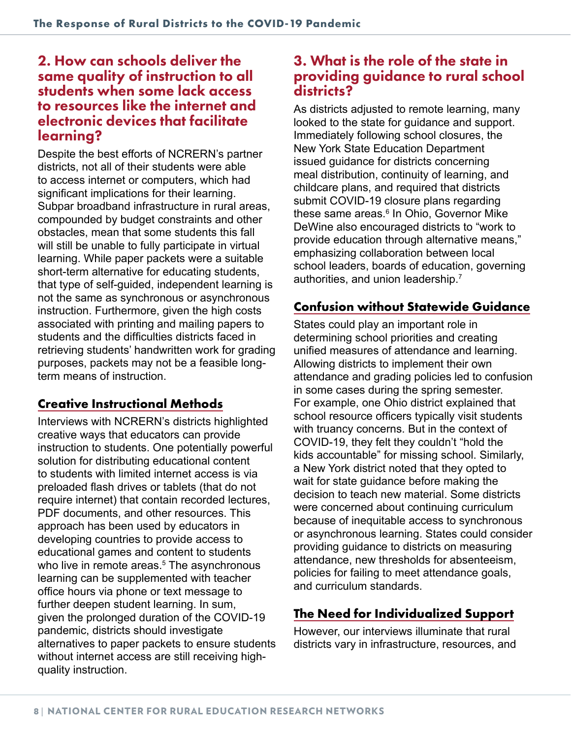### 2. How can schools deliver the same quality of instruction to all students when some lack access to resources like the internet and electronic devices that facilitate learning?

Despite the best efforts of NCRERN's partner districts, not all of their students were able to access internet or computers, which had significant implications for their learning. Subpar broadband infrastructure in rural areas, compounded by budget constraints and other obstacles, mean that some students this fall will still be unable to fully participate in virtual learning. While paper packets were a suitable short-term alternative for educating students, that type of self-guided, independent learning is not the same as synchronous or asynchronous instruction. Furthermore, given the high costs associated with printing and mailing papers to students and the difficulties districts faced in retrieving students' handwritten work for grading purposes, packets may not be a feasible longterm means of instruction.

#### **Creative Instructional Methods**

Interviews with NCRERN's districts highlighted creative ways that educators can provide instruction to students. One potentially powerful solution for distributing educational content to students with limited internet access is via preloaded flash drives or tablets (that do not require internet) that contain recorded lectures, PDF documents, and other resources. This approach has been used by educators in developing countries to provide access to educational games and content to students who live in remote areas.<sup>5</sup> The asynchronous learning can be supplemented with teacher office hours via phone or text message to further deepen student learning. In sum, given the prolonged duration of the COVID-19 pandemic, districts should investigate alternatives to paper packets to ensure students without internet access are still receiving highquality instruction.

### 3. What is the role of the state in providing guidance to rural school districts?

As districts adjusted to remote learning, many looked to the state for guidance and support. Immediately following school closures, the New York State Education Department issued guidance for districts concerning meal distribution, continuity of learning, and childcare plans, and required that districts submit COVID-19 closure plans regarding these same areas.<sup>6</sup> In Ohio, Governor Mike DeWine also encouraged districts to "work to provide education through alternative means," emphasizing collaboration between local school leaders, boards of education, governing authorities, and union leadership.7

### **Confusion without Statewide Guidance**

States could play an important role in determining school priorities and creating unified measures of attendance and learning. Allowing districts to implement their own attendance and grading policies led to confusion in some cases during the spring semester. For example, one Ohio district explained that school resource officers typically visit students with truancy concerns. But in the context of COVID-19, they felt they couldn't "hold the kids accountable" for missing school. Similarly, a New York district noted that they opted to wait for state guidance before making the decision to teach new material. Some districts were concerned about continuing curriculum because of inequitable access to synchronous or asynchronous learning. States could consider providing guidance to districts on measuring attendance, new thresholds for absenteeism, policies for failing to meet attendance goals, and curriculum standards.

### **The Need for Individualized Support**

However, our interviews illuminate that rural districts vary in infrastructure, resources, and